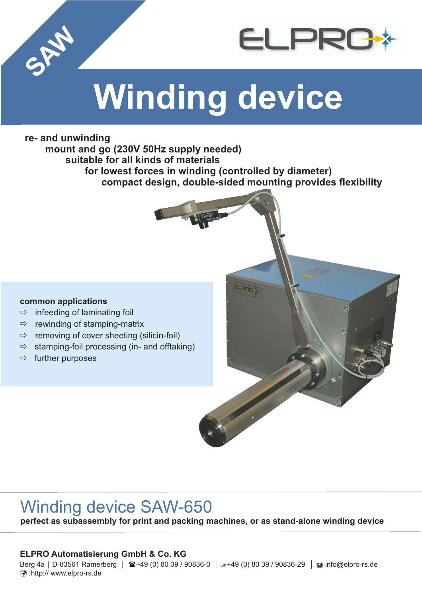

# **Winding device**

# **re- and unwinding**

**SAW** 

**mount and go (230V 50Hz supply needed) suitable for all kinds of materials for lowest forces in winding (controlled by diameter) compact design, double-sided mounting provides flexibility**

### **common applications**

- ð infeeding of laminating foil
- $\Rightarrow$ rewinding of stamping-matrix
- $\Rightarrow$ removing of cover sheeting (silicin-foil)
- ð stamping-foil processing (in- and offtaking)
- $\Rightarrow$  further purposes

# Winding device SAW-650

**perfect as subassembly for print and packing machines, or as stand-alone winding device**

## **ELPRO Automatisierung GmbH & Co. KG**

Berg 4a | D-83561 Ramerberg | ☎+49 (0) 80 39 / 90836-0 | a+49 (0) 80 39 / 90836-29 | ⊠ info@elpro-rs.de :http:// www.elpro-rs.de ü